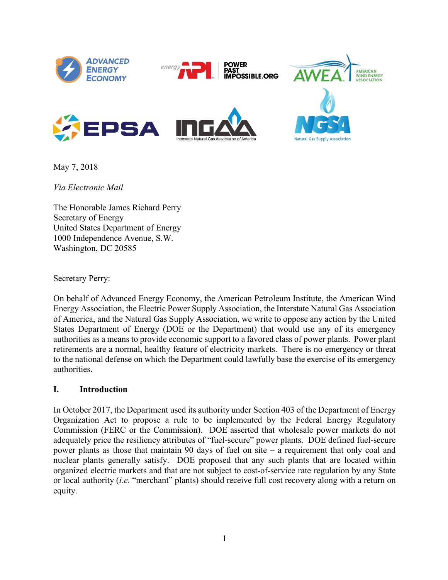

May 7, 2018

*Via Electronic Mail*

The Honorable James Richard Perry Secretary of Energy United States Department of Energy 1000 Independence Avenue, S.W. Washington, DC 20585

Secretary Perry:

On behalf of Advanced Energy Economy, the American Petroleum Institute, the American Wind Energy Association, the Electric Power Supply Association, the Interstate Natural Gas Association of America, and the Natural Gas Supply Association, we write to oppose any action by the United States Department of Energy (DOE or the Department) that would use any of its emergency authorities as a means to provide economic support to a favored class of power plants. Power plant retirements are a normal, healthy feature of electricity markets. There is no emergency or threat to the national defense on which the Department could lawfully base the exercise of its emergency authorities.

#### **I. Introduction**

In October 2017, the Department used its authority under Section 403 of the Department of Energy Organization Act to propose a rule to be implemented by the Federal Energy Regulatory Commission (FERC or the Commission). DOE asserted that wholesale power markets do not adequately price the resiliency attributes of "fuel-secure" power plants. DOE defined fuel-secure power plants as those that maintain 90 days of fuel on site – a requirement that only coal and nuclear plants generally satisfy. DOE proposed that any such plants that are located within organized electric markets and that are not subject to cost-of-service rate regulation by any State or local authority (*i.e.* "merchant" plants) should receive full cost recovery along with a return on equity.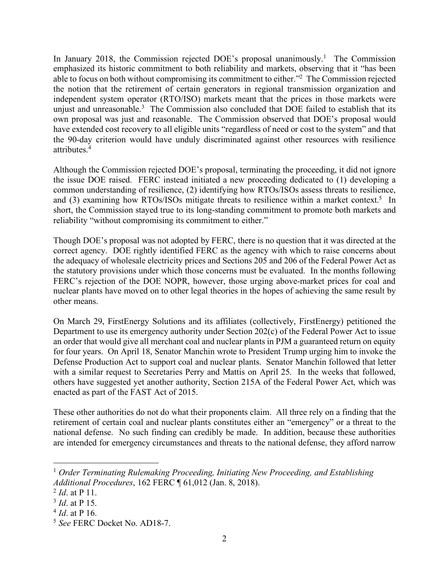In January 2018, the Commission rejected DOE's proposal unanimously.<sup>1</sup> The Commission emphasized its historic commitment to both reliability and markets, observing that it "has been able to focus on both without compromising its commitment to either."2 The Commission rejected the notion that the retirement of certain generators in regional transmission organization and independent system operator (RTO/ISO) markets meant that the prices in those markets were unjust and unreasonable.<sup>3</sup> The Commission also concluded that DOE failed to establish that its own proposal was just and reasonable. The Commission observed that DOE's proposal would have extended cost recovery to all eligible units "regardless of need or cost to the system" and that the 90-day criterion would have unduly discriminated against other resources with resilience attributes.4

Although the Commission rejected DOE's proposal, terminating the proceeding, it did not ignore the issue DOE raised. FERC instead initiated a new proceeding dedicated to (1) developing a common understanding of resilience, (2) identifying how RTOs/ISOs assess threats to resilience, and (3) examining how RTOs/ISOs mitigate threats to resilience within a market context.<sup>5</sup> In short, the Commission stayed true to its long-standing commitment to promote both markets and reliability "without compromising its commitment to either."

Though DOE's proposal was not adopted by FERC, there is no question that it was directed at the correct agency. DOE rightly identified FERC as the agency with which to raise concerns about the adequacy of wholesale electricity prices and Sections 205 and 206 of the Federal Power Act as the statutory provisions under which those concerns must be evaluated. In the months following FERC's rejection of the DOE NOPR, however, those urging above-market prices for coal and nuclear plants have moved on to other legal theories in the hopes of achieving the same result by other means.

On March 29, FirstEnergy Solutions and its affiliates (collectively, FirstEnergy) petitioned the Department to use its emergency authority under Section 202(c) of the Federal Power Act to issue an order that would give all merchant coal and nuclear plants in PJM a guaranteed return on equity for four years. On April 18, Senator Manchin wrote to President Trump urging him to invoke the Defense Production Act to support coal and nuclear plants. Senator Manchin followed that letter with a similar request to Secretaries Perry and Mattis on April 25. In the weeks that followed, others have suggested yet another authority, Section 215A of the Federal Power Act, which was enacted as part of the FAST Act of 2015.

These other authorities do not do what their proponents claim. All three rely on a finding that the retirement of certain coal and nuclear plants constitutes either an "emergency" or a threat to the national defense. No such finding can credibly be made. In addition, because these authorities are intended for emergency circumstances and threats to the national defense, they afford narrow

<sup>1</sup> *Order Terminating Rulemaking Proceeding, Initiating New Proceeding, and Establishing Additional Procedures*, 162 FERC ¶ 61,012 (Jan. 8, 2018).

<sup>2</sup> *Id*. at P 11.

<sup>3</sup> *Id*. at P 15.

<sup>4</sup> *Id*. at P 16.

<sup>5</sup> *See* FERC Docket No. AD18-7.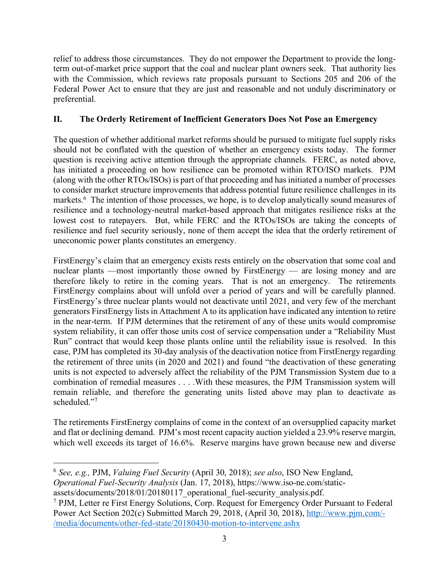relief to address those circumstances. They do not empower the Department to provide the longterm out-of-market price support that the coal and nuclear plant owners seek. That authority lies with the Commission, which reviews rate proposals pursuant to Sections 205 and 206 of the Federal Power Act to ensure that they are just and reasonable and not unduly discriminatory or preferential.

# **II. The Orderly Retirement of Inefficient Generators Does Not Pose an Emergency**

The question of whether additional market reforms should be pursued to mitigate fuel supply risks should not be conflated with the question of whether an emergency exists today. The former question is receiving active attention through the appropriate channels. FERC, as noted above, has initiated a proceeding on how resilience can be promoted within RTO/ISO markets. PJM (along with the other RTOs/ISOs) is part of that proceeding and has initiated a number of processes to consider market structure improvements that address potential future resilience challenges in its markets.<sup>6</sup> The intention of those processes, we hope, is to develop analytically sound measures of resilience and a technology-neutral market-based approach that mitigates resilience risks at the lowest cost to ratepayers. But, while FERC and the RTOs/ISOs are taking the concepts of resilience and fuel security seriously, none of them accept the idea that the orderly retirement of uneconomic power plants constitutes an emergency.

FirstEnergy's claim that an emergency exists rests entirely on the observation that some coal and nuclear plants —most importantly those owned by FirstEnergy — are losing money and are therefore likely to retire in the coming years. That is not an emergency. The retirements FirstEnergy complains about will unfold over a period of years and will be carefully planned. FirstEnergy's three nuclear plants would not deactivate until 2021, and very few of the merchant generators FirstEnergy lists in Attachment A to its application have indicated any intention to retire in the near-term. If PJM determines that the retirement of any of these units would compromise system reliability, it can offer those units cost of service compensation under a "Reliability Must Run" contract that would keep those plants online until the reliability issue is resolved. In this case, PJM has completed its 30-day analysis of the deactivation notice from FirstEnergy regarding the retirement of three units (in 2020 and 2021) and found "the deactivation of these generating units is not expected to adversely affect the reliability of the PJM Transmission System due to a combination of remedial measures . . . .With these measures, the PJM Transmission system will remain reliable, and therefore the generating units listed above may plan to deactivate as scheduled."7

The retirements FirstEnergy complains of come in the context of an oversupplied capacity market and flat or declining demand. PJM's most recent capacity auction yielded a 23.9% reserve margin, which well exceeds its target of 16.6%. Reserve margins have grown because new and diverse

 $\overline{a}$ <sup>6</sup> *See, e.g.,* PJM, *Valuing Fuel Security* (April 30, 2018); *see also*, ISO New England, *Operational Fuel-Security Analysis* (Jan. 17, 2018), https://www.iso-ne.com/static-

assets/documents/2018/01/20180117\_operational\_fuel-security\_analysis.pdf.

<sup>7</sup> PJM, Letter re First Energy Solutions, Corp. Request for Emergency Order Pursuant to Federal Power Act Section 202(c) Submitted March 29, 2018, (April 30, 2018), http://www.pjm.com/- /media/documents/other-fed-state/20180430-motion-to-intervene.ashx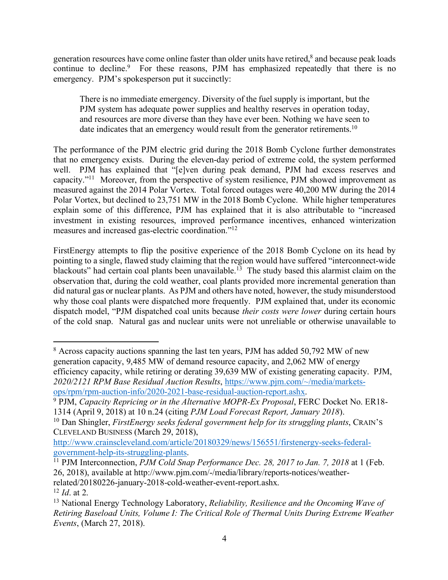generation resources have come online faster than older units have retired,<sup>8</sup> and because peak loads continue to decline.<sup>9</sup> For these reasons, PJM has emphasized repeatedly that there is no emergency. PJM's spokesperson put it succinctly:

There is no immediate emergency. Diversity of the fuel supply is important, but the PJM system has adequate power supplies and healthy reserves in operation today, and resources are more diverse than they have ever been. Nothing we have seen to date indicates that an emergency would result from the generator retirements.<sup>10</sup>

The performance of the PJM electric grid during the 2018 Bomb Cyclone further demonstrates that no emergency exists. During the eleven-day period of extreme cold, the system performed well. PJM has explained that "[e]ven during peak demand, PJM had excess reserves and capacity."11 Moreover, from the perspective of system resilience, PJM showed improvement as measured against the 2014 Polar Vortex. Total forced outages were 40,200 MW during the 2014 Polar Vortex, but declined to 23,751 MW in the 2018 Bomb Cyclone. While higher temperatures explain some of this difference, PJM has explained that it is also attributable to "increased investment in existing resources, improved performance incentives, enhanced winterization measures and increased gas-electric coordination."12

FirstEnergy attempts to flip the positive experience of the 2018 Bomb Cyclone on its head by pointing to a single, flawed study claiming that the region would have suffered "interconnect-wide blackouts" had certain coal plants been unavailable.<sup>13</sup> The study based this alarmist claim on the observation that, during the cold weather, coal plants provided more incremental generation than did natural gas or nuclear plants. As PJM and others have noted, however, the study misunderstood why those coal plants were dispatched more frequently. PJM explained that, under its economic dispatch model, "PJM dispatched coal units because *their costs were lower* during certain hours of the cold snap. Natural gas and nuclear units were not unreliable or otherwise unavailable to

<sup>&</sup>lt;sup>8</sup> Across capacity auctions spanning the last ten years, PJM has added 50,792 MW of new generation capacity, 9,485 MW of demand resource capacity, and 2,062 MW of energy efficiency capacity, while retiring or derating 39,639 MW of existing generating capacity. PJM, *2020/2121 RPM Base Residual Auction Results*, https://www.pjm.com/~/media/marketsops/rpm/rpm-auction-info/2020-2021-base-residual-auction-report.ashx. 9 PJM, *Capacity Repricing or in the Alternative MOPR-Ex Proposal*, FERC Docket No. ER18-

<sup>1314 (</sup>April 9, 2018) at 10 n.24 (citing *PJM Load Forecast Report, January 2018*).

<sup>10</sup> Dan Shingler, *FirstEnergy seeks federal government help for its struggling plants*, CRAIN'S CLEVELAND BUSINESS (March 29, 2018),

http://www.crainscleveland.com/article/20180329/news/156551/firstenergy-seeks-federal-

government-help-its-struggling-plants. 11 PJM Interconnection, *PJM Cold Snap Performance Dec. 28, 2017 to Jan. 7, 2018* at 1 (Feb. 26, 2018), available at http://www.pjm.com/-/media/library/reports-notices/weatherrelated/20180226-january-2018-cold-weather-event-report.ashx.

<sup>12</sup> *Id*. at 2.

<sup>13</sup> National Energy Technology Laboratory, *Reliability, Resilience and the Oncoming Wave of Retiring Baseload Units, Volume I: The Critical Role of Thermal Units During Extreme Weather Events*, (March 27, 2018).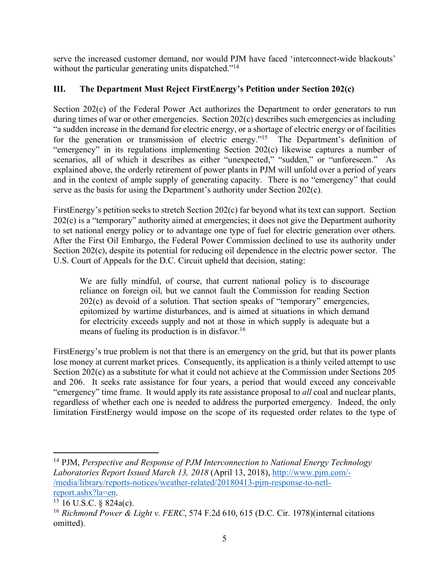serve the increased customer demand, nor would PJM have faced 'interconnect-wide blackouts' without the particular generating units dispatched."<sup>14</sup>

# **III. The Department Must Reject FirstEnergy's Petition under Section 202(c)**

Section 202(c) of the Federal Power Act authorizes the Department to order generators to run during times of war or other emergencies. Section 202(c) describes such emergencies as including "a sudden increase in the demand for electric energy, or a shortage of electric energy or of facilities for the generation or transmission of electric energy."<sup>15</sup> The Department's definition of "emergency" in its regulations implementing Section 202(c) likewise captures a number of scenarios, all of which it describes as either "unexpected," "sudden," or "unforeseen." As explained above, the orderly retirement of power plants in PJM will unfold over a period of years and in the context of ample supply of generating capacity. There is no "emergency" that could serve as the basis for using the Department's authority under Section 202(c).

FirstEnergy's petition seeks to stretch Section 202(c) far beyond what its text can support. Section 202(c) is a "temporary" authority aimed at emergencies; it does not give the Department authority to set national energy policy or to advantage one type of fuel for electric generation over others. After the First Oil Embargo, the Federal Power Commission declined to use its authority under Section 202(c), despite its potential for reducing oil dependence in the electric power sector. The U.S. Court of Appeals for the D.C. Circuit upheld that decision, stating:

We are fully mindful, of course, that current national policy is to discourage reliance on foreign oil, but we cannot fault the Commission for reading Section 202(c) as devoid of a solution. That section speaks of "temporary" emergencies, epitomized by wartime disturbances, and is aimed at situations in which demand for electricity exceeds supply and not at those in which supply is adequate but a means of fueling its production is in disfavor.<sup>16</sup>

FirstEnergy's true problem is not that there is an emergency on the grid, but that its power plants lose money at current market prices. Consequently, its application is a thinly veiled attempt to use Section 202(c) as a substitute for what it could not achieve at the Commission under Sections 205 and 206. It seeks rate assistance for four years, a period that would exceed any conceivable "emergency" time frame. It would apply its rate assistance proposal to *all* coal and nuclear plants, regardless of whether each one is needed to address the purported emergency. Indeed, the only limitation FirstEnergy would impose on the scope of its requested order relates to the type of

<sup>14</sup> PJM, *Perspective and Response of PJM Interconnection to National Energy Technology Laboratories Report Issued March 13, 2018* (April 13, 2018), http://www.pjm.com/- /media/library/reports-notices/weather-related/20180413-pjm-response-to-netlreport.ashx?la=en.<br> $15 \, 16 \, \text{U.S.C.} \, \text{\&} 824a(c)$ .

<sup>16</sup> *Richmond Power & Light v. FERC*, 574 F.2d 610, 615 (D.C. Cir. 1978)(internal citations omitted).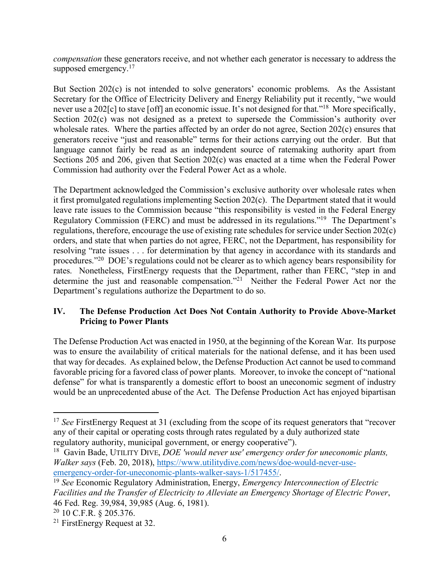*compensation* these generators receive, and not whether each generator is necessary to address the supposed emergency.<sup>17</sup>

But Section 202(c) is not intended to solve generators' economic problems. As the Assistant Secretary for the Office of Electricity Delivery and Energy Reliability put it recently, "we would never use a 202[c] to stave [off] an economic issue. It's not designed for that."18 More specifically, Section 202(c) was not designed as a pretext to supersede the Commission's authority over wholesale rates. Where the parties affected by an order do not agree, Section 202(c) ensures that generators receive "just and reasonable" terms for their actions carrying out the order. But that language cannot fairly be read as an independent source of ratemaking authority apart from Sections 205 and 206, given that Section 202(c) was enacted at a time when the Federal Power Commission had authority over the Federal Power Act as a whole.

The Department acknowledged the Commission's exclusive authority over wholesale rates when it first promulgated regulations implementing Section 202(c). The Department stated that it would leave rate issues to the Commission because "this responsibility is vested in the Federal Energy Regulatory Commission (FERC) and must be addressed in its regulations."19 The Department's regulations, therefore, encourage the use of existing rate schedules for service under Section 202(c) orders, and state that when parties do not agree, FERC, not the Department, has responsibility for resolving "rate issues . . . for determination by that agency in accordance with its standards and procedures."20 DOE's regulations could not be clearer as to which agency bears responsibility for rates. Nonetheless, FirstEnergy requests that the Department, rather than FERC, "step in and determine the just and reasonable compensation."<sup>21</sup> Neither the Federal Power Act nor the Department's regulations authorize the Department to do so.

### **IV. The Defense Production Act Does Not Contain Authority to Provide Above-Market Pricing to Power Plants**

The Defense Production Act was enacted in 1950, at the beginning of the Korean War. Its purpose was to ensure the availability of critical materials for the national defense, and it has been used that way for decades. As explained below, the Defense Production Act cannot be used to command favorable pricing for a favored class of power plants. Moreover, to invoke the concept of "national defense" for what is transparently a domestic effort to boost an uneconomic segment of industry would be an unprecedented abuse of the Act. The Defense Production Act has enjoyed bipartisan

<sup>&</sup>lt;sup>17</sup> *See* FirstEnergy Request at 31 (excluding from the scope of its request generators that "recover" any of their capital or operating costs through rates regulated by a duly authorized state regulatory authority, municipal government, or energy cooperative").

<sup>18</sup> Gavin Bade, UTILITY DIVE, *DOE 'would never use' emergency order for uneconomic plants, Walker says* (Feb. 20, 2018), https://www.utilitydive.com/news/doe-would-never-useemergency-order-for-uneconomic-plants-walker-says-1/517455/. 19 *See* Economic Regulatory Administration, Energy, *Emergency Interconnection of Electric* 

*Facilities and the Transfer of Electricity to Alleviate an Emergency Shortage of Electric Power*, 46 Fed. Reg. 39,984, 39,985 (Aug. 6, 1981).

<sup>20</sup> 10 C.F.R. § 205.376.

<sup>21</sup> FirstEnergy Request at 32.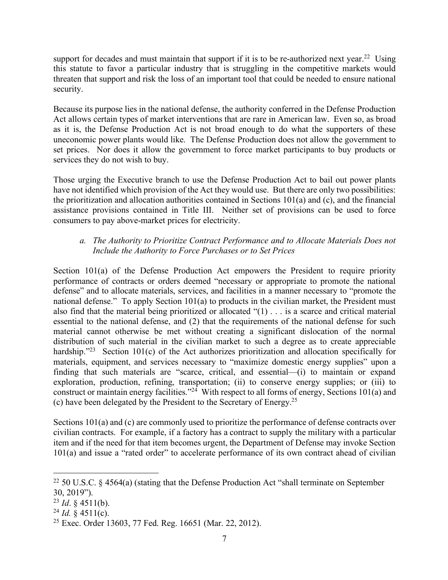support for decades and must maintain that support if it is to be re-authorized next year.<sup>22</sup> Using this statute to favor a particular industry that is struggling in the competitive markets would threaten that support and risk the loss of an important tool that could be needed to ensure national security.

Because its purpose lies in the national defense, the authority conferred in the Defense Production Act allows certain types of market interventions that are rare in American law. Even so, as broad as it is, the Defense Production Act is not broad enough to do what the supporters of these uneconomic power plants would like. The Defense Production does not allow the government to set prices. Nor does it allow the government to force market participants to buy products or services they do not wish to buy.

Those urging the Executive branch to use the Defense Production Act to bail out power plants have not identified which provision of the Act they would use. But there are only two possibilities: the prioritization and allocation authorities contained in Sections 101(a) and (c), and the financial assistance provisions contained in Title III. Neither set of provisions can be used to force consumers to pay above-market prices for electricity.

### *a. The Authority to Prioritize Contract Performance and to Allocate Materials Does not Include the Authority to Force Purchases or to Set Prices*

Section 101(a) of the Defense Production Act empowers the President to require priority performance of contracts or orders deemed "necessary or appropriate to promote the national defense" and to allocate materials, services, and facilities in a manner necessary to "promote the national defense." To apply Section 101(a) to products in the civilian market, the President must also find that the material being prioritized or allocated "(1) . . . is a scarce and critical material essential to the national defense, and (2) that the requirements of the national defense for such material cannot otherwise be met without creating a significant dislocation of the normal distribution of such material in the civilian market to such a degree as to create appreciable hardship."<sup>23</sup> Section 101(c) of the Act authorizes prioritization and allocation specifically for materials, equipment, and services necessary to "maximize domestic energy supplies" upon a finding that such materials are "scarce, critical, and essential—(i) to maintain or expand exploration, production, refining, transportation; (ii) to conserve energy supplies; or (iii) to construct or maintain energy facilities."<sup>24</sup> With respect to all forms of energy, Sections 101(a) and (c) have been delegated by the President to the Secretary of Energy.25

Sections 101(a) and (c) are commonly used to prioritize the performance of defense contracts over civilian contracts. For example, if a factory has a contract to supply the military with a particular item and if the need for that item becomes urgent, the Department of Defense may invoke Section 101(a) and issue a "rated order" to accelerate performance of its own contract ahead of civilian

<u>.</u>

<sup>&</sup>lt;sup>22</sup> 50 U.S.C. § 4564(a) (stating that the Defense Production Act "shall terminate on September 30, 2019").

 $^{23}$  *Id.* § 4511(b).

 $^{24}$  *Id.* § 4511(c).

<sup>25</sup> Exec. Order 13603, 77 Fed. Reg. 16651 (Mar. 22, 2012).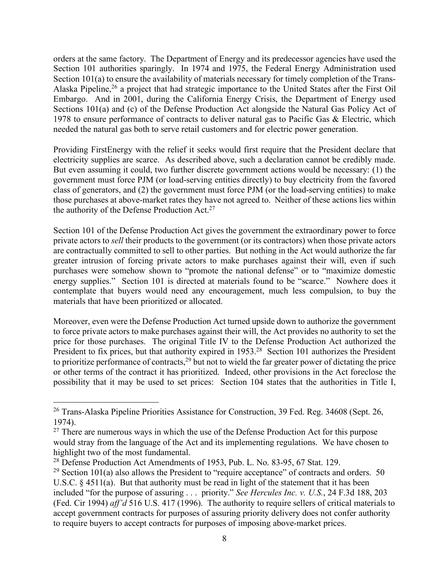orders at the same factory. The Department of Energy and its predecessor agencies have used the Section 101 authorities sparingly. In 1974 and 1975, the Federal Energy Administration used Section 101(a) to ensure the availability of materials necessary for timely completion of the Trans-Alaska Pipeline,26 a project that had strategic importance to the United States after the First Oil Embargo. And in 2001, during the California Energy Crisis, the Department of Energy used Sections 101(a) and (c) of the Defense Production Act alongside the Natural Gas Policy Act of 1978 to ensure performance of contracts to deliver natural gas to Pacific Gas & Electric, which needed the natural gas both to serve retail customers and for electric power generation.

Providing FirstEnergy with the relief it seeks would first require that the President declare that electricity supplies are scarce. As described above, such a declaration cannot be credibly made. But even assuming it could, two further discrete government actions would be necessary: (1) the government must force PJM (or load-serving entities directly) to buy electricity from the favored class of generators, and (2) the government must force PJM (or the load-serving entities) to make those purchases at above-market rates they have not agreed to. Neither of these actions lies within the authority of the Defense Production Act.<sup>27</sup>

Section 101 of the Defense Production Act gives the government the extraordinary power to force private actors to *sell* their products to the government (or its contractors) when those private actors are contractually committed to sell to other parties. But nothing in the Act would authorize the far greater intrusion of forcing private actors to make purchases against their will, even if such purchases were somehow shown to "promote the national defense" or to "maximize domestic energy supplies." Section 101 is directed at materials found to be "scarce." Nowhere does it contemplate that buyers would need any encouragement, much less compulsion, to buy the materials that have been prioritized or allocated.

Moreover, even were the Defense Production Act turned upside down to authorize the government to force private actors to make purchases against their will, the Act provides no authority to set the price for those purchases. The original Title IV to the Defense Production Act authorized the President to fix prices, but that authority expired in 1953.<sup>28</sup> Section 101 authorizes the President to prioritize performance of contracts,  $29$  but not to wield the far greater power of dictating the price or other terms of the contract it has prioritized. Indeed, other provisions in the Act foreclose the possibility that it may be used to set prices: Section 104 states that the authorities in Title I,

<sup>&</sup>lt;sup>26</sup> Trans-Alaska Pipeline Priorities Assistance for Construction, 39 Fed. Reg. 34608 (Sept. 26, 1974).

 $27$  There are numerous ways in which the use of the Defense Production Act for this purpose would stray from the language of the Act and its implementing regulations. We have chosen to highlight two of the most fundamental.

<sup>28</sup> Defense Production Act Amendments of 1953, Pub. L. No. 83-95, 67 Stat. 129.

<sup>&</sup>lt;sup>29</sup> Section 101(a) also allows the President to "require acceptance" of contracts and orders. 50 U.S.C. § 4511(a). But that authority must be read in light of the statement that it has been included "for the purpose of assuring . . . priority." *See Hercules Inc. v. U.S.*, 24 F.3d 188, 203 (Fed. Cir 1994) *aff'd* 516 U.S. 417 (1996). The authority to require sellers of critical materials to accept government contracts for purposes of assuring priority delivery does not confer authority to require buyers to accept contracts for purposes of imposing above-market prices.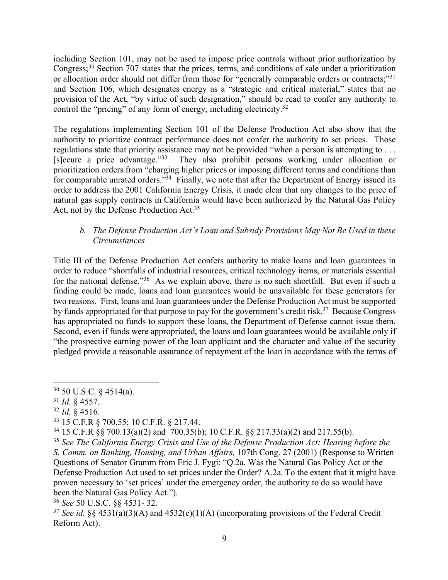including Section 101, may not be used to impose price controls without prior authorization by Congress;30 Section 707 states that the prices, terms, and conditions of sale under a prioritization or allocation order should not differ from those for "generally comparable orders or contracts;"<sup>31</sup> and Section 106, which designates energy as a "strategic and critical material," states that no provision of the Act, "by virtue of such designation," should be read to confer any authority to control the "pricing" of any form of energy, including electricity.<sup>32</sup>

The regulations implementing Section 101 of the Defense Production Act also show that the authority to prioritize contract performance does not confer the authority to set prices. Those regulations state that priority assistance may not be provided "when a person is attempting to . . . [s]ecure a price advantage."33 They also prohibit persons working under allocation or prioritization orders from "charging higher prices or imposing different terms and conditions than for comparable unrated orders.<sup>334</sup> Finally, we note that after the Department of Energy issued its order to address the 2001 California Energy Crisis, it made clear that any changes to the price of natural gas supply contracts in California would have been authorized by the Natural Gas Policy Act, not by the Defense Production Act.<sup>35</sup>

### *b. The Defense Production Act's Loan and Subsidy Provisions May Not Be Used in these Circumstances*

Title III of the Defense Production Act confers authority to make loans and loan guarantees in order to reduce "shortfalls of industrial resources, critical technology items, or materials essential for the national defense."<sup>36</sup> As we explain above, there is no such shortfall. But even if such a finding could be made, loans and loan guarantees would be unavailable for these generators for two reasons. First, loans and loan guarantees under the Defense Production Act must be supported by funds appropriated for that purpose to pay for the government's credit risk.<sup>37</sup> Because Congress has appropriated no funds to support these loans, the Department of Defense cannot issue them. Second, even if funds were appropriated, the loans and loan guarantees would be available only if "the prospective earning power of the loan applicant and the character and value of the security pledged provide a reasonable assurance of repayment of the loan in accordance with the terms of

 $\overline{a}$ 

*S. Comm. on Banking, Housing, and Urban Affairs,* 107th Cong. 27 (2001) (Response to Written Questions of Senator Gramm from Eric J. Fygi: "Q.2a. Was the Natural Gas Policy Act or the Defense Production Act used to set prices under the Order? A.2a. To the extent that it might have proven necessary to 'set prices' under the emergency order, the authority to do so would have been the Natural Gas Policy Act.").

<sup>36</sup> *See* 50 U.S.C. §§ 4531- 32.

 $30$  50 U.S.C. § 4514(a).

<sup>31</sup> *Id.* § 4557.

<sup>32</sup> *Id.* § 4516.

<sup>33</sup> 15 C.F.R § 700.55; 10 C.F.R. § 217.44.

<sup>34</sup> 15 C.F.R §§ 700.13(a)(2) and 700.35(b); 10 C.F.R. §§ 217.33(a)(2) and 217.55(b).

<sup>35</sup> *See The California Energy Crisis and Use of the Defense Production Act: Hearing before the* 

<sup>37</sup> *See id.* §§ 4531(a)(3)(A) and 4532(c)(1)(A) (incorporating provisions of the Federal Credit Reform Act).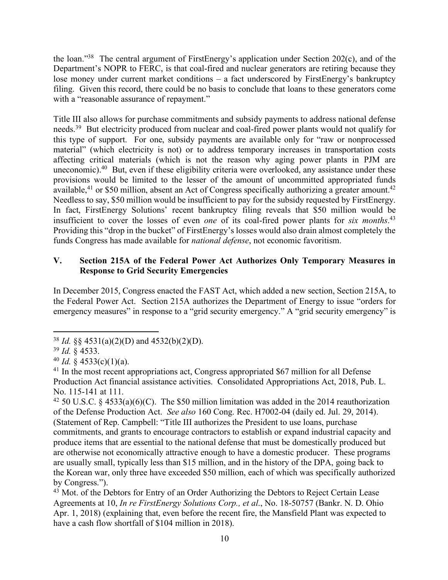the loan."38 The central argument of FirstEnergy's application under Section 202(c), and of the Department's NOPR to FERC, is that coal-fired and nuclear generators are retiring because they lose money under current market conditions – a fact underscored by FirstEnergy's bankruptcy filing. Given this record, there could be no basis to conclude that loans to these generators come with a "reasonable assurance of repayment."

Title III also allows for purchase commitments and subsidy payments to address national defense needs.<sup>39</sup> But electricity produced from nuclear and coal-fired power plants would not qualify for this type of support. For one, subsidy payments are available only for "raw or nonprocessed material" (which electricity is not) or to address temporary increases in transportation costs affecting critical materials (which is not the reason why aging power plants in PJM are uneconomic).40 But, even if these eligibility criteria were overlooked, any assistance under these provisions would be limited to the lesser of the amount of uncommitted appropriated funds available,<sup>41</sup> or \$50 million, absent an Act of Congress specifically authorizing a greater amount.<sup>42</sup> Needless to say, \$50 million would be insufficient to pay for the subsidy requested by FirstEnergy. In fact, FirstEnergy Solutions' recent bankruptcy filing reveals that \$50 million would be insufficient to cover the losses of even *one* of its coal-fired power plants for *six months*. 43 Providing this "drop in the bucket" of FirstEnergy's losses would also drain almost completely the funds Congress has made available for *national defense*, not economic favoritism.

#### **V. Section 215A of the Federal Power Act Authorizes Only Temporary Measures in Response to Grid Security Emergencies**

In December 2015, Congress enacted the FAST Act, which added a new section, Section 215A, to the Federal Power Act. Section 215A authorizes the Department of Energy to issue "orders for emergency measures" in response to a "grid security emergency." A "grid security emergency" is

<sup>38</sup> *Id.* §§ 4531(a)(2)(D) and 4532(b)(2)(D).

<sup>39</sup> *Id.* § 4533.

 $40$  *Id.* § 4533(c)(1)(a).

<sup>&</sup>lt;sup>41</sup> In the most recent appropriations act, Congress appropriated \$67 million for all Defense Production Act financial assistance activities. Consolidated Appropriations Act, 2018, Pub. L. No. 115-141 at 111.

<sup>&</sup>lt;sup>42</sup> 50 U.S.C. § 4533(a)(6)(C). The \$50 million limitation was added in the 2014 reauthorization of the Defense Production Act. *See also* 160 Cong. Rec. H7002-04 (daily ed. Jul. 29, 2014). (Statement of Rep. Campbell: "Title III authorizes the President to use loans, purchase commitments, and grants to encourage contractors to establish or expand industrial capacity and produce items that are essential to the national defense that must be domestically produced but are otherwise not economically attractive enough to have a domestic producer. These programs are usually small, typically less than \$15 million, and in the history of the DPA, going back to the Korean war, only three have exceeded \$50 million, each of which was specifically authorized by Congress.").

 $43$  Mot. of the Debtors for Entry of an Order Authorizing the Debtors to Reject Certain Lease Agreements at 10, *In re FirstEnergy Solutions Corp., et al*., No. 18-50757 (Bankr. N. D. Ohio Apr. 1, 2018) (explaining that, even before the recent fire, the Mansfield Plant was expected to have a cash flow shortfall of \$104 million in 2018).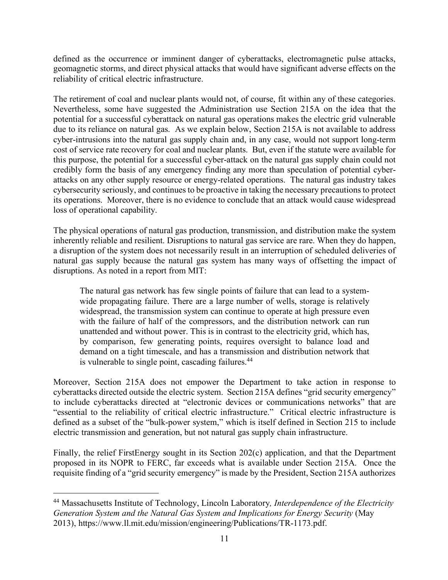defined as the occurrence or imminent danger of cyberattacks, electromagnetic pulse attacks, geomagnetic storms, and direct physical attacks that would have significant adverse effects on the reliability of critical electric infrastructure.

The retirement of coal and nuclear plants would not, of course, fit within any of these categories. Nevertheless, some have suggested the Administration use Section 215A on the idea that the potential for a successful cyberattack on natural gas operations makes the electric grid vulnerable due to its reliance on natural gas. As we explain below, Section 215A is not available to address cyber-intrusions into the natural gas supply chain and, in any case, would not support long-term cost of service rate recovery for coal and nuclear plants. But, even if the statute were available for this purpose, the potential for a successful cyber-attack on the natural gas supply chain could not credibly form the basis of any emergency finding any more than speculation of potential cyberattacks on any other supply resource or energy-related operations. The natural gas industry takes cybersecurity seriously, and continues to be proactive in taking the necessary precautions to protect its operations. Moreover, there is no evidence to conclude that an attack would cause widespread loss of operational capability.

The physical operations of natural gas production, transmission, and distribution make the system inherently reliable and resilient. Disruptions to natural gas service are rare. When they do happen, a disruption of the system does not necessarily result in an interruption of scheduled deliveries of natural gas supply because the natural gas system has many ways of offsetting the impact of disruptions. As noted in a report from MIT:

The natural gas network has few single points of failure that can lead to a systemwide propagating failure. There are a large number of wells, storage is relatively widespread, the transmission system can continue to operate at high pressure even with the failure of half of the compressors, and the distribution network can run unattended and without power. This is in contrast to the electricity grid, which has, by comparison, few generating points, requires oversight to balance load and demand on a tight timescale, and has a transmission and distribution network that is vulnerable to single point, cascading failures.<sup>44</sup>

Moreover, Section 215A does not empower the Department to take action in response to cyberattacks directed outside the electric system. Section 215A defines "grid security emergency" to include cyberattacks directed at "electronic devices or communications networks" that are "essential to the reliability of critical electric infrastructure." Critical electric infrastructure is defined as a subset of the "bulk-power system," which is itself defined in Section 215 to include electric transmission and generation, but not natural gas supply chain infrastructure.

Finally, the relief FirstEnergy sought in its Section 202(c) application, and that the Department proposed in its NOPR to FERC, far exceeds what is available under Section 215A. Once the requisite finding of a "grid security emergency" is made by the President, Section 215A authorizes

<sup>44</sup> Massachusetts Institute of Technology, Lincoln Laboratory*, Interdependence of the Electricity Generation System and the Natural Gas System and Implications for Energy Security* (May 2013), https://www.ll.mit.edu/mission/engineering/Publications/TR-1173.pdf.